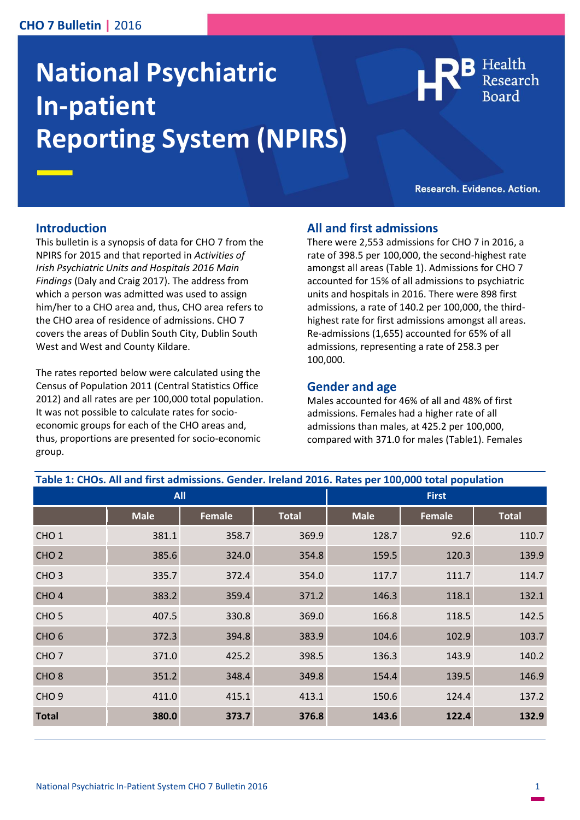### **CHO 7 Bulletin |** 2016

# **National Psychiatric In-patient Reporting System (NPIRS)**

Health

Research. Evidence. Action.

#### **Introduction**

This bulletin is a synopsis of data for CHO 7 from the NPIRS for 2015 and that reported in *Activities of Irish Psychiatric Units and Hospitals 2016 Main Findings* (Daly and Craig 2017). The address from which a person was admitted was used to assign him/her to a CHO area and, thus, CHO area refers to the CHO area of residence of admissions. CHO 7 covers the areas of Dublin South City, Dublin South West and West and County Kildare.

The rates reported below were calculated using the Census of Population 2011 (Central Statistics Office 2012) and all rates are per 100,000 total population. It was not possible to calculate rates for socioeconomic groups for each of the CHO areas and, thus, proportions are presented for socio-economic group.

#### **All and first admissions**

There were 2,553 admissions for CHO 7 in 2016, a rate of 398.5 per 100,000, the second-highest rate amongst all areas (Table 1). Admissions for CHO 7 accounted for 15% of all admissions to psychiatric units and hospitals in 2016. There were 898 first admissions, a rate of 140.2 per 100,000, the thirdhighest rate for first admissions amongst all areas. Re-admissions (1,655) accounted for 65% of all admissions, representing a rate of 258.3 per 100,000.

#### **Gender and age**

Males accounted for 46% of all and 48% of first admissions. Females had a higher rate of all admissions than males, at 425.2 per 100,000, compared with 371.0 for males (Table1). Females

| Table 1: CHOs. All and first admissions. Gender. Ireland 2016. Rates per 100,000 total population |             |               |              |              |               |              |
|---------------------------------------------------------------------------------------------------|-------------|---------------|--------------|--------------|---------------|--------------|
| <b>All</b>                                                                                        |             |               |              | <b>First</b> |               |              |
|                                                                                                   | <b>Male</b> | <b>Female</b> | <b>Total</b> | <b>Male</b>  | <b>Female</b> | <b>Total</b> |
| CHO <sub>1</sub>                                                                                  | 381.1       | 358.7         | 369.9        | 128.7        | 92.6          | 110.7        |
| CHO <sub>2</sub>                                                                                  | 385.6       | 324.0         | 354.8        | 159.5        | 120.3         | 139.9        |
| CHO <sub>3</sub>                                                                                  | 335.7       | 372.4         | 354.0        | 117.7        | 111.7         | 114.7        |
| CHO <sub>4</sub>                                                                                  | 383.2       | 359.4         | 371.2        | 146.3        | 118.1         | 132.1        |
| CHO <sub>5</sub>                                                                                  | 407.5       | 330.8         | 369.0        | 166.8        | 118.5         | 142.5        |
| CHO <sub>6</sub>                                                                                  | 372.3       | 394.8         | 383.9        | 104.6        | 102.9         | 103.7        |
| CHO <sub>7</sub>                                                                                  | 371.0       | 425.2         | 398.5        | 136.3        | 143.9         | 140.2        |
| CHO <sub>8</sub>                                                                                  | 351.2       | 348.4         | 349.8        | 154.4        | 139.5         | 146.9        |
| CHO <sub>9</sub>                                                                                  | 411.0       | 415.1         | 413.1        | 150.6        | 124.4         | 137.2        |
| <b>Total</b>                                                                                      | 380.0       | 373.7         | 376.8        | 143.6        | 122.4         | 132.9        |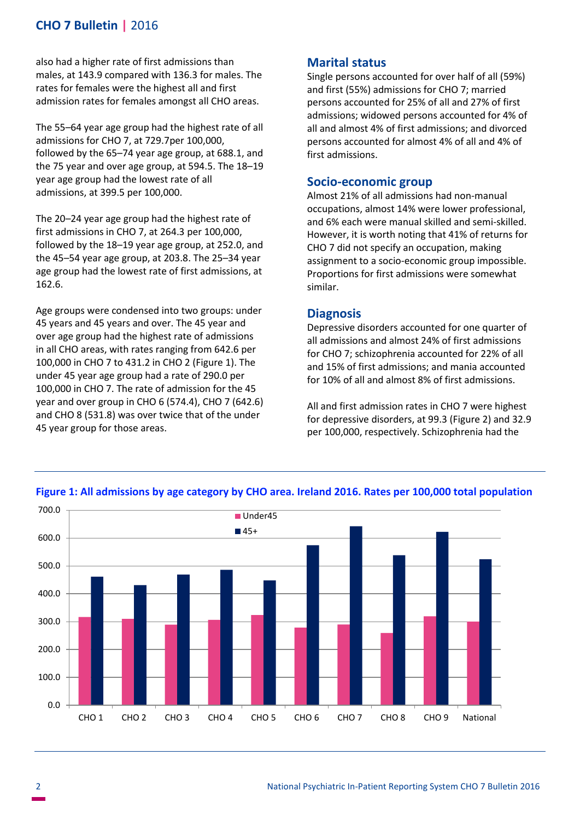## **CHO 7 Bulletin |** 2016

also had a higher rate of first admissions than males, at 143.9 compared with 136.3 for males. The rates for females were the highest all and first admission rates for females amongst all CHO areas.

The 55–64 year age group had the highest rate of all admissions for CHO 7, at 729.7per 100,000, followed by the 65–74 year age group, at 688.1, and the 75 year and over age group, at 594.5. The 18–19 year age group had the lowest rate of all admissions, at 399.5 per 100,000.

The 20–24 year age group had the highest rate of first admissions in CHO 7, at 264.3 per 100,000, followed by the 18–19 year age group, at 252.0, and the 45–54 year age group, at 203.8. The 25–34 year age group had the lowest rate of first admissions, at 162.6.

Age groups were condensed into two groups: under 45 years and 45 years and over. The 45 year and over age group had the highest rate of admissions in all CHO areas, with rates ranging from 642.6 per 100,000 in CHO 7 to 431.2 in CHO 2 (Figure 1). The under 45 year age group had a rate of 290.0 per 100,000 in CHO 7. The rate of admission for the 45 year and over group in CHO 6 (574.4), CHO 7 (642.6) and CHO 8 (531.8) was over twice that of the under 45 year group for those areas.

### **Marital status**

Single persons accounted for over half of all (59%) and first (55%) admissions for CHO 7; married persons accounted for 25% of all and 27% of first admissions; widowed persons accounted for 4% of all and almost 4% of first admissions; and divorced persons accounted for almost 4% of all and 4% of first admissions.

#### **Socio-economic group**

Almost 21% of all admissions had non-manual occupations, almost 14% were lower professional, and 6% each were manual skilled and semi-skilled. However, it is worth noting that 41% of returns for CHO 7 did not specify an occupation, making assignment to a socio-economic group impossible. Proportions for first admissions were somewhat similar.

#### **Diagnosis**

Depressive disorders accounted for one quarter of all admissions and almost 24% of first admissions for CHO 7; schizophrenia accounted for 22% of all and 15% of first admissions; and mania accounted for 10% of all and almost 8% of first admissions.

All and first admission rates in CHO 7 were highest for depressive disorders, at 99.3 (Figure 2) and 32.9 per 100,000, respectively. Schizophrenia had the



#### **Figure 1: All admissions by age category by CHO area. Ireland 2016. Rates per 100,000 total population**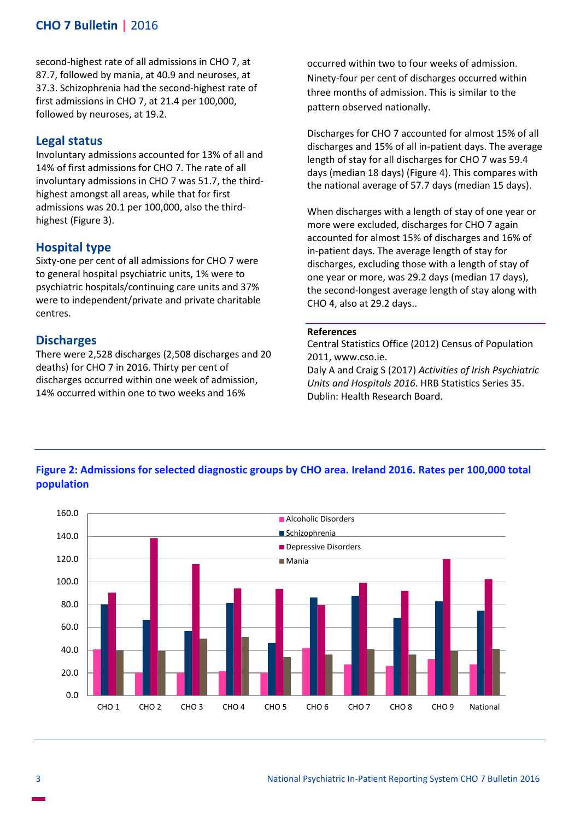## **CHO 7 Bulletin |** 2016

second-highest rate of all admissions in CHO 7, at 87.7, followed by mania, at 40.9 and neuroses, at 37.3. Schizophrenia had the second-highest rate of first admissions in CHO 7, at 21.4 per 100,000, followed by neuroses, at 19.2.

#### **Legal status**

Involuntary admissions accounted for 13% of all and 14% of first admissions for CHO 7. The rate of all involuntary admissions in CHO 7 was 51.7, the thirdhighest amongst all areas, while that for first admissions was 20.1 per 100,000, also the thirdhighest (Figure 3).

#### **Hospital type**

Sixty-one per cent of all admissions for CHO 7 were to general hospital psychiatric units, 1% were to psychiatric hospitals/continuing care units and 37% were to independent/private and private charitable centres.

#### **Discharges**

There were 2,528 discharges (2,508 discharges and 20 deaths) for CHO 7 in 2016. Thirty per cent of discharges occurred within one week of admission, 14% occurred within one to two weeks and 16%

occurred within two to four weeks of admission. Ninety-four per cent of discharges occurred within three months of admission. This is similar to the pattern observed nationally.

Discharges for CHO 7 accounted for almost 15% of all discharges and 15% of all in-patient days. The average length of stay for all discharges for CHO 7 was 59.4 days (median 18 days) (Figure 4). This compares with the national average of 57.7 days (median 15 days).

When discharges with a length of stay of one year or more were excluded, discharges for CHO 7 again accounted for almost 15% of discharges and 16% of in-patient days. The average length of stay for discharges, excluding those with a length of stay of one year or more, was 29.2 days (median 17 days), the second-longest average length of stay along with CHO 4, also at 29.2 days..

#### **References**

Central Statistics Office (2012) Census of Population 2011, www.cso.ie.

Daly A and Craig S (2017) *Activities of Irish Psychiatric Units and Hospitals 2016*. HRB Statistics Series 35. Dublin: Health Research Board.

### **Figure 2: Admissions for selected diagnostic groups by CHO area. Ireland 2016. Rates per 100,000 total population**